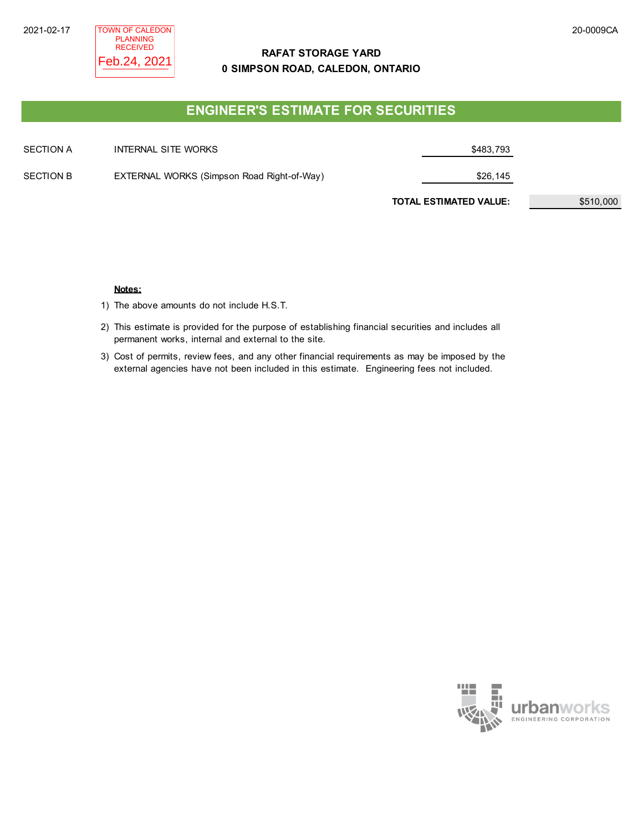# **RAFAT STORAGE YARD 0 SIMPSON ROAD, CALEDON, ONTARIO**

# **ENGINEER'S ESTIMATE FOR SECURITIES**

| SECTION A | INTERNAL SITE WORKS                        | \$483,793                     |           |
|-----------|--------------------------------------------|-------------------------------|-----------|
| SECTION B | EXTERNAL WORKS (Simpson Road Right-of-Way) | \$26,145                      |           |
|           |                                            | <b>TOTAL ESTIMATED VALUE:</b> | \$510,000 |

### **Notes:**

1) The above amounts do not include H.S.T.

- 2) This estimate is provided for the purpose of establishing financial securities and includes all permanent works, internal and external to the site.
- 3) Cost of permits, review fees, and any other financial requirements as may be imposed by the external agencies have not been included in this estimate. Engineering fees not included.

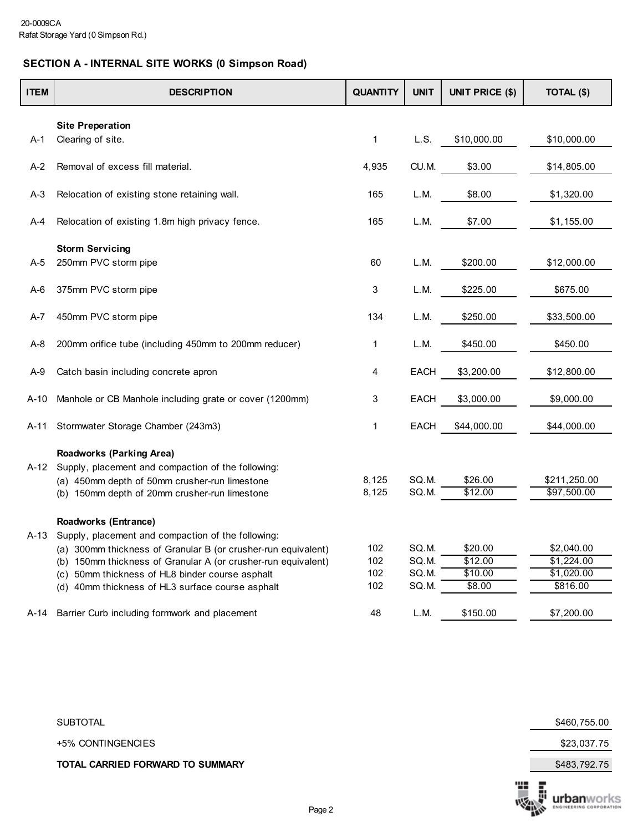# **SECTION A - INTERNAL SITE WORKS (0 Simpson Road)**

| <b>ITEM</b> | <b>DESCRIPTION</b>                                                                    | <b>QUANTITY</b> | <b>UNIT</b> | UNIT PRICE (\$) | TOTAL (\$)   |
|-------------|---------------------------------------------------------------------------------------|-----------------|-------------|-----------------|--------------|
|             |                                                                                       |                 |             |                 |              |
| $A-1$       | <b>Site Preperation</b><br>Clearing of site.                                          | 1               | L.S.        | \$10,000.00     | \$10,000.00  |
|             |                                                                                       |                 |             |                 |              |
| A-2         | Removal of excess fill material.                                                      | 4,935           | CU.M.       | \$3.00          | \$14,805.00  |
| A-3         | Relocation of existing stone retaining wall.                                          | 165             | L.M.        | \$8.00          | \$1,320.00   |
| A-4         | Relocation of existing 1.8m high privacy fence.                                       | 165             | L.M.        | \$7.00          | \$1,155.00   |
|             |                                                                                       |                 |             |                 |              |
| A-5         | <b>Storm Servicing</b><br>250mm PVC storm pipe                                        | 60              | L.M.        | \$200.00        | \$12,000.00  |
|             |                                                                                       |                 |             |                 |              |
| A-6         | 375mm PVC storm pipe                                                                  | 3               | L.M.        | \$225.00        | \$675.00     |
| A-7         | 450mm PVC storm pipe                                                                  | 134             | L.M.        | \$250.00        | \$33,500.00  |
| A-8         | 200mm orifice tube (including 450mm to 200mm reducer)                                 | 1               | L.M.        | \$450.00        | \$450.00     |
| A-9         | Catch basin including concrete apron                                                  | 4               | EACH        | \$3,200.00      | \$12,800.00  |
| A-10        | Manhole or CB Manhole including grate or cover (1200mm)                               | 3               | EACH        | \$3,000.00      | \$9,000.00   |
| A-11        | Stormwater Storage Chamber (243m3)                                                    | 1               | <b>EACH</b> | \$44,000.00     | \$44,000.00  |
|             |                                                                                       |                 |             |                 |              |
| A-12        | <b>Roadworks (Parking Area)</b><br>Supply, placement and compaction of the following: |                 |             |                 |              |
|             | (a) 450mm depth of 50mm crusher-run limestone                                         | 8,125           | SQ.M.       | \$26.00         | \$211,250.00 |
|             | (b) 150mm depth of 20mm crusher-run limestone                                         | 8,125           | SQ.M.       | \$12.00         | \$97,500.00  |
|             | <b>Roadworks (Entrance)</b>                                                           |                 |             |                 |              |
| A-13        | Supply, placement and compaction of the following:                                    |                 |             |                 |              |
|             | (a) 300mm thickness of Granular B (or crusher-run equivalent)                         | 102             | SQ.M.       | \$20.00         | \$2,040.00   |
|             | (b) 150mm thickness of Granular A (or crusher-run equivalent)                         | 102             | SQ.M.       | \$12.00         | \$1,224.00   |
|             | (c) 50mm thickness of HL8 binder course asphalt                                       | 102             | SQ.M.       | \$10.00         | \$1,020.00   |
|             | (d) 40mm thickness of HL3 surface course asphalt                                      | 102             | SQ.M.       | \$8.00          | \$816.00     |
| A-14        | Barrier Curb including formwork and placement                                         | 48              | L.M.        | \$150.00        | \$7,200.00   |

SUBTOTAL \$460,755.00

+5% CONTINGENCIES \$23,037.75

**TOTAL CARRIED FORWARD TO SUMMARY S483,792.75**